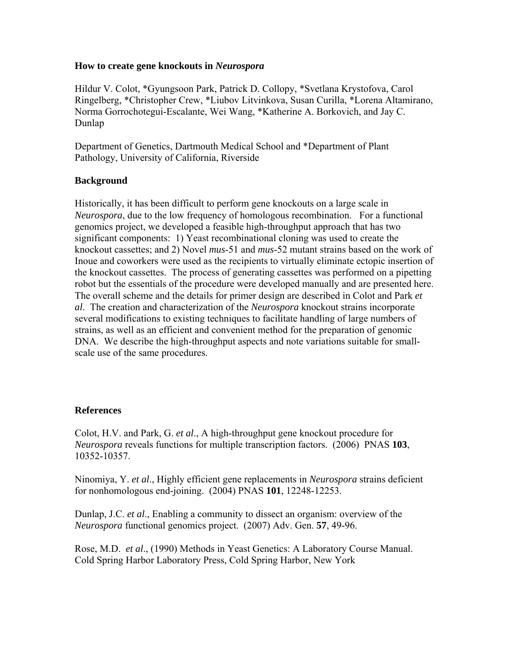#### **How to create gene knockouts in** *Neurospora*

Hildur V. Colot, \*Gyungsoon Park, Patrick D. Collopy, \*Svetlana Krystofova, Carol Ringelberg, \*Christopher Crew, \*Liubov Litvinkova, Susan Curilla, \*Lorena Altamirano, Norma Gorrochotegui-Escalante, Wei Wang, \*Katherine A. Borkovich, and Jay C. Dunlap

Department of Genetics, Dartmouth Medical School and \*Department of Plant Pathology, University of California, Riverside

### **Background**

Historically, it has been difficult to perform gene knockouts on a large scale in *Neurospora*, due to the low frequency of homologous recombination. For a functional genomics project, we developed a feasible high-throughput approach that has two significant components: 1) Yeast recombinational cloning was used to create the knockout cassettes; and 2) Novel *mus*-51 and *mus*-52 mutant strains based on the work of Inoue and coworkers were used as the recipients to virtually eliminate ectopic insertion of the knockout cassettes. The process of generating cassettes was performed on a pipetting robot but the essentials of the procedure were developed manually and are presented here. The overall scheme and the details for primer design are described in Colot and Park *et al*. The creation and characterization of the *Neurospora* knockout strains incorporate several modifications to existing techniques to facilitate handling of large numbers of strains, as well as an efficient and convenient method for the preparation of genomic DNA. We describe the high-throughput aspects and note variations suitable for smallscale use of the same procedures.

#### **References**

Colot, H.V. and Park, G. *et al*., A high-throughput gene knockout procedure for *Neurospora* reveals functions for multiple transcription factors. (2006) PNAS **103**, 10352-10357.

Ninomiya, Y. *et al*., Highly efficient gene replacements in *Neurospora* strains deficient for nonhomologous end-joining. (2004) PNAS **101**, 12248-12253.

Dunlap, J.C. *et al*., Enabling a community to dissect an organism: overview of the *Neurospora* functional genomics project. (2007) Adv. Gen. **57**, 49-96.

Rose, M.D. *et al*., (1990) Methods in Yeast Genetics: A Laboratory Course Manual. Cold Spring Harbor Laboratory Press, Cold Spring Harbor, New York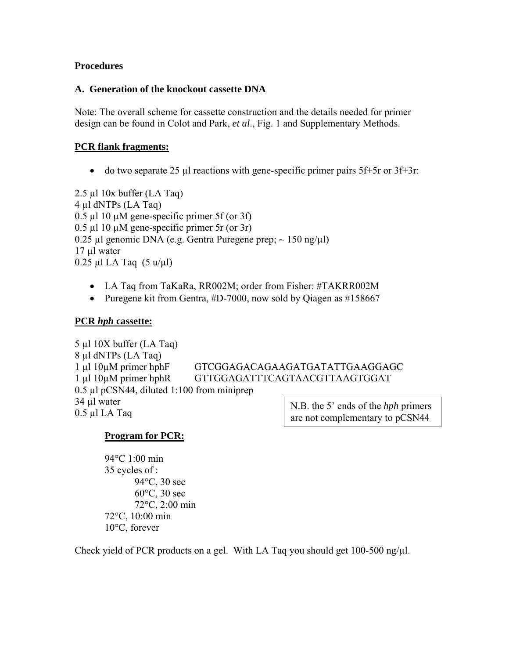#### **Procedures**

#### **A. Generation of the knockout cassette DNA**

Note: The overall scheme for cassette construction and the details needed for primer design can be found in Colot and Park, *et al*., Fig. 1 and Supplementary Methods.

### **PCR flank fragments:**

• do two separate 25  $\mu$  reactions with gene-specific primer pairs 5f+5r or 3f+3r:

2.5 µl 10x buffer (LA Taq) 4 µl dNTPs (LA Taq)  $0.5 \mu$ l 10  $\mu$ M gene-specific primer 5f (or 3f) 0.5 µl 10 µM gene-specific primer 5r (or 3r) 0.25 µl genomic DNA (e.g. Gentra Puregene prep;  $\sim$  150 ng/µl) 17 µl water 0.25 µl LA Taq  $(5 u/u)$ 

- LA Taq from TaKaRa, RR002M; order from Fisher: [#TAKRR002M](https://www1.fishersci.com/Coupon?catnum=TAKRR002M)
- Puregene kit from Gentra, #D-7000, now sold by Qiagen as #158667

### **PCR** *hph* **cassette:**

5 µl 10X buffer (LA Taq) 8 µl dNTPs (LA Taq) 1 µl 10µM primer hphF GTCGGAGACAGAAGATGATATTGAAGGAGC 1 µl 10µM primer hphR GTTGGAGATTTCAGTAACGTTAAGTGGAT 0.5 µl pCSN44, diluted 1:100 from miniprep  $34 \mu l$  water<br>0.5  $\mu$ l LA Taq<br>0.5  $\mu$ l LA Taq

are not complementary to pCSN44.

# **Program for PCR:**

94°C 1:00 min 35 cycles of : 94°C, 30 sec 60°C, 30 sec 72°C, 2:00 min 72°C, 10:00 min 10°C, forever

Check yield of PCR products on a gel. With LA Taq you should get  $100-500$  ng/ $\mu$ l.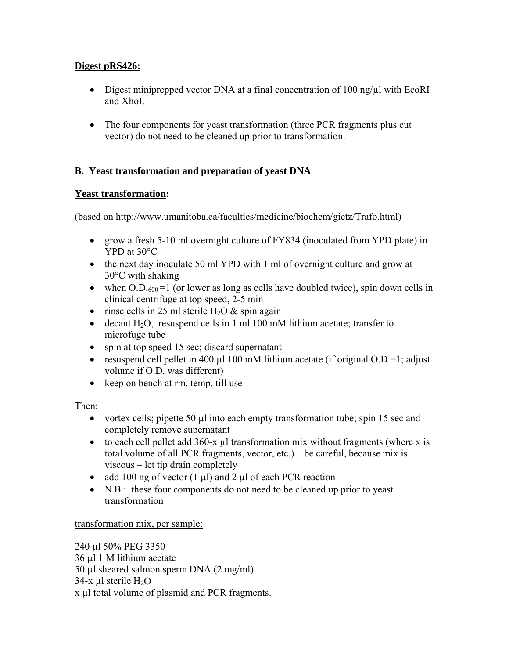# **Digest pRS426:**

- Digest miniprepped vector DNA at a final concentration of 100 ng/ $\mu$ l with EcoRI and XhoI.
- The four components for yeast transformation (three PCR fragments plus cut) vector) do not need to be cleaned up prior to transformation.

# **B. Yeast transformation and preparation of yeast DNA**

## **Yeast transformation:**

(based on http://www.umanitoba.ca/faculties/medicine/biochem/gietz/Trafo.html)

- grow a fresh 5-10 ml overnight culture of FY834 (inoculated from YPD plate) in YPD at 30°C
- the next day inoculate 50 ml YPD with 1 ml of overnight culture and grow at 30°C with shaking
- when  $O.D_{.600} = 1$  (or lower as long as cells have doubled twice), spin down cells in clinical centrifuge at top speed, 2-5 min
- rinse cells in 25 ml sterile  $H_2O$  & spin again
- decant  $H_2O$ , resuspend cells in 1 ml 100 mM lithium acetate; transfer to microfuge tube
- spin at top speed 15 sec; discard supernatant
- resuspend cell pellet in 400  $\mu$ l 100 mM lithium acetate (if original O.D.=1; adjust volume if O.D. was different)
- keep on bench at rm. temp. till use

Then:

- vortex cells; pipette 50  $\mu$  into each empty transformation tube; spin 15 sec and completely remove supernatant
- to each cell pellet add  $360-x$  µl transformation mix without fragments (where x is total volume of all PCR fragments, vector, etc.) – be careful, because mix is viscous – let tip drain completely
- add 100 ng of vector  $(1 \mu l)$  and  $2 \mu l$  of each PCR reaction
- N.B.: these four components do not need to be cleaned up prior to yeast transformation

## transformation mix, per sample:

```
240 µl 50% PEG 3350 
36 µl 1 M lithium acetate 
50 µl sheared salmon sperm DNA (2 mg/ml) 
34-x µl sterile H_2Ox µl total volume of plasmid and PCR fragments.
```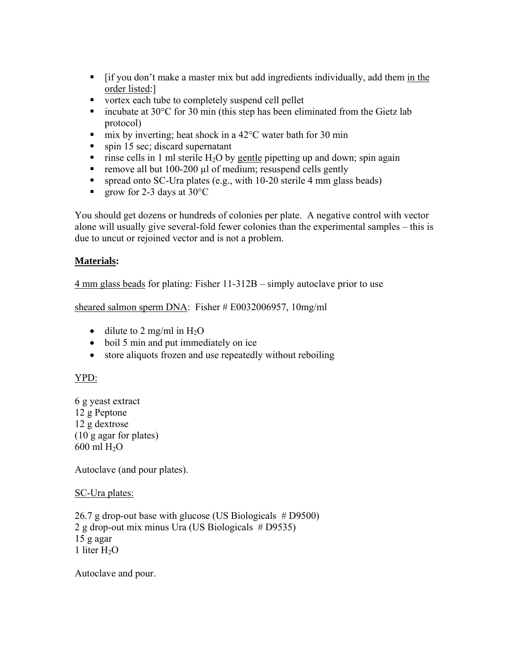- [if you don't make a master mix but add ingredients individually, add them in the order listed:]
- vortex each tube to completely suspend cell pellet
- incubate at  $30^{\circ}$ C for 30 min (this step has been eliminated from the Gietz lab protocol)
- mix by inverting; heat shock in a  $42^{\circ}$ C water bath for 30 min
- $\blacksquare$  spin 15 sec; discard supernatant
- rinse cells in 1 ml sterile H<sub>2</sub>O by gentle pipetting up and down; spin again
- remove all but 100-200  $\mu$ l of medium; resuspend cells gently
- **spread onto SC-Ura plates (e.g., with 10-20 sterile 4 mm glass beads)**
- **grow for 2-3 days at 30 °C**

You should get dozens or hundreds of colonies per plate. A negative control with vector alone will usually give several-fold fewer colonies than the experimental samples – this is due to uncut or rejoined vector and is not a problem.

# **Materials:**

4 mm glass beads for plating: Fisher 11-312B – simply autoclave prior to use

sheared salmon sperm DNA: Fisher # E0032006957, 10mg/ml

- dilute to 2 mg/ml in  $H_2O$
- boil 5 min and put immediately on ice
- store aliquots frozen and use repeatedly without reboiling

# YPD:

6 g yeast extract 12 g Peptone 12 g dextrose (10 g agar for plates)  $600$  ml  $H<sub>2</sub>O$ 

Autoclave (and pour plates).

SC-Ura plates:

26.7 g drop-out base with glucose (US Biologicals # D9500) 2 g drop-out mix minus Ura (US Biologicals # D9535) 15 g agar 1 liter  $H_2O$ 

Autoclave and pour.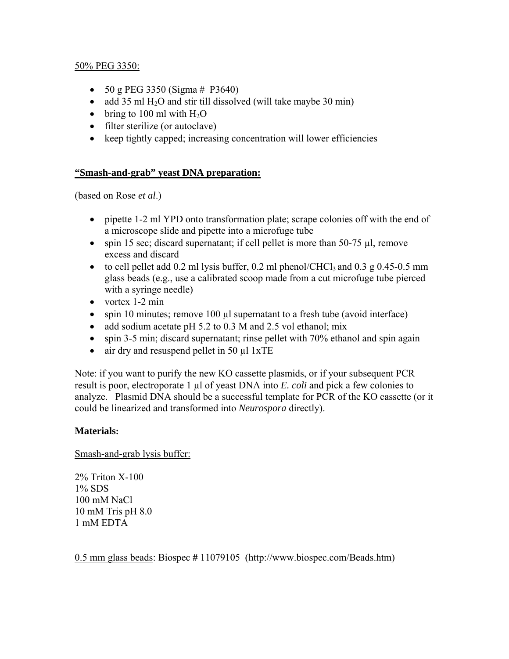### 50% PEG 3350:

- 50 g PEG 3350 (Sigma  $#$  P3640)
- add 35 ml  $H_2O$  and stir till dissolved (will take maybe 30 min)
- bring to 100 ml with  $H_2O$
- filter sterilize (or autoclave)
- keep tightly capped; increasing concentration will lower efficiencies

### **"Smash-and-grab" yeast DNA preparation:**

(based on Rose *et al*.)

- pipette 1-2 ml YPD onto transformation plate; scrape colonies off with the end of a microscope slide and pipette into a microfuge tube
- spin 15 sec; discard supernatant; if cell pellet is more than 50-75 µl, remove excess and discard
- to cell pellet add 0.2 ml lysis buffer, 0.2 ml phenol/CHCl<sub>3</sub> and 0.3 g 0.45-0.5 mm glass beads (e.g., use a calibrated scoop made from a cut microfuge tube pierced with a syringe needle)
- vortex 1-2 min
- spin 10 minutes; remove 100 µl supernatant to a fresh tube (avoid interface)
- add sodium acetate pH 5.2 to 0.3 M and 2.5 vol ethanol; mix
- spin 3-5 min; discard supernatant; rinse pellet with 70% ethanol and spin again
- air dry and resuspend pellet in 50 µl 1xTE

Note: if you want to purify the new KO cassette plasmids, or if your subsequent PCR result is poor, electroporate 1 µl of yeast DNA into *E. coli* and pick a few colonies to analyze. Plasmid DNA should be a successful template for PCR of the KO cassette (or it could be linearized and transformed into *Neurospora* directly).

## **Materials:**

Smash-and-grab lysis buffer:

2% Triton X-100 1% SDS 100 mM NaCl 10 mM Tris pH 8.0 1 mM EDTA

0.5 mm glass beads: Biospec **#** 11079105 (<http://www.biospec.com/Beads.htm>)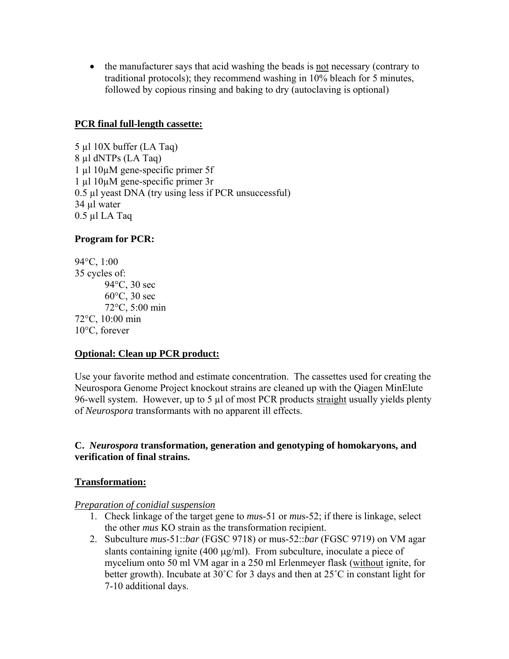• the manufacturer says that acid washing the beads is not necessary (contrary to traditional protocols); they recommend washing in 10% bleach for 5 minutes, followed by copious rinsing and baking to dry (autoclaving is optional)

#### **PCR final full-length cassette:**

5 µl 10X buffer (LA Taq) 8 µl dNTPs (LA Taq) 1 µl 10µM gene-specific primer 5f 1 µl 10µM gene-specific primer 3r 0.5 µl yeast DNA (try using less if PCR unsuccessful) 34 µl water  $0.5$  µl LA Taq

### **Program for PCR:**

94°C, 1:00 35 cycles of: 94°C, 30 sec 60°C, 30 sec 72°C, 5:00 min 72°C, 10:00 min 10°C, forever

#### **Optional: Clean up PCR product:**

Use your favorite method and estimate concentration. The cassettes used for creating the Neurospora Genome Project knockout strains are cleaned up with the Qiagen MinElute 96-well system. However, up to 5 µl of most PCR products straight usually yields plenty of *Neurospora* transformants with no apparent ill effects.

## **C.** *Neurospora* **transformation, generation and genotyping of homokaryons, and verification of final strains.**

#### **Transformation:**

#### *Preparation of conidial suspension*

- 1. Check linkage of the target gene to *mu*s-51 or *mu*s-52; if there is linkage, select the other *mus* KO strain as the transformation recipient.
- 2. Subculture *mus*-51::*bar* (FGSC 9718) or mus-52::*bar* (FGSC 9719) on VM agar slants containing ignite (400 μg/ml). From subculture, inoculate a piece of mycelium onto 50 ml VM agar in a 250 ml Erlenmeyer flask (without ignite, for better growth). Incubate at 30˚C for 3 days and then at 25˚C in constant light for 7-10 additional days.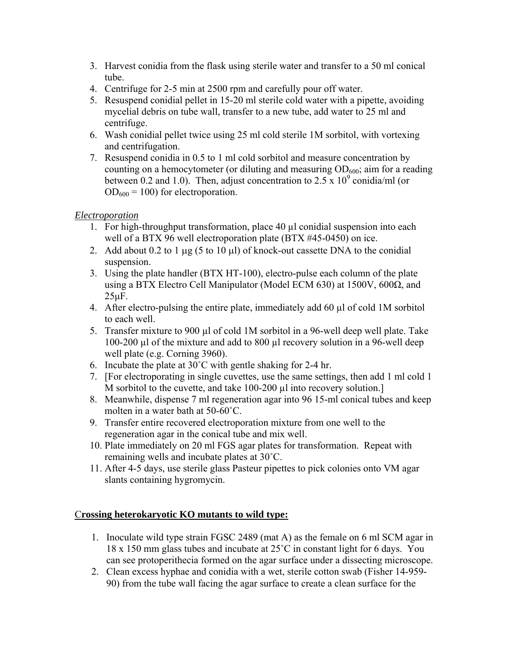- 3. Harvest conidia from the flask using sterile water and transfer to a 50 ml conical tube.
- 4. Centrifuge for 2-5 min at 2500 rpm and carefully pour off water.
- 5. Resuspend conidial pellet in 15-20 ml sterile cold water with a pipette, avoiding mycelial debris on tube wall, transfer to a new tube, add water to 25 ml and centrifuge.
- 6. Wash conidial pellet twice using 25 ml cold sterile 1M sorbitol, with vortexing and centrifugation.
- 7. Resuspend conidia in 0.5 to 1 ml cold sorbitol and measure concentration by counting on a hemocytometer (or diluting and measuring  $OD_{600}$ ; aim for a reading between 0.2 and 1.0). Then, adjust concentration to  $2.5 \times 10^9$  conidia/ml (or  $OD_{600} = 100$ ) for electroporation.

# *Electroporation*

- 1. For high-throughput transformation, place 40 µl conidial suspension into each well of a BTX 96 well electroporation plate (BTX #45-0450) on ice.
- 2. Add about 0.2 to 1 μg (5 to 10 μl) of knock-out cassette DNA to the conidial suspension.
- 3. Using the plate handler (BTX HT-100), electro-pulse each column of the plate using a BTX Electro Cell Manipulator (Model ECM 630) at 1500V, 600Ω, and 25μF.
- 4. After electro-pulsing the entire plate, immediately add 60 µl of cold 1M sorbitol to each well.
- 5. Transfer mixture to 900 µl of cold 1M sorbitol in a 96-well deep well plate. Take 100-200 µl of the mixture and add to 800 µl recovery solution in a 96-well deep well plate (e.g. Corning 3960).
- 6. Incubate the plate at 30˚C with gentle shaking for 2-4 hr.
- 7. [For electroporating in single cuvettes, use the same settings, then add 1 ml cold 1 M sorbitol to the cuvette, and take 100-200 µl into recovery solution.
- 8. Meanwhile, dispense 7 ml regeneration agar into 96 15-ml conical tubes and keep molten in a water bath at 50-60˚C.
- 9. Transfer entire recovered electroporation mixture from one well to the regeneration agar in the conical tube and mix well.
- 10. Plate immediately on 20 ml FGS agar plates for transformation. Repeat with remaining wells and incubate plates at 30˚C.
- 11. After 4-5 days, use sterile glass Pasteur pipettes to pick colonies onto VM agar slants containing hygromycin.

## C**rossing heterokaryotic KO mutants to wild type:**

- 1. Inoculate wild type strain FGSC 2489 (mat A) as the female on 6 ml SCM agar in 18 x 150 mm glass tubes and incubate at 25˚C in constant light for 6 days. You can see protoperithecia formed on the agar surface under a dissecting microscope.
- 2. Clean excess hyphae and conidia with a wet, sterile cotton swab (Fisher 14-959- 90) from the tube wall facing the agar surface to create a clean surface for the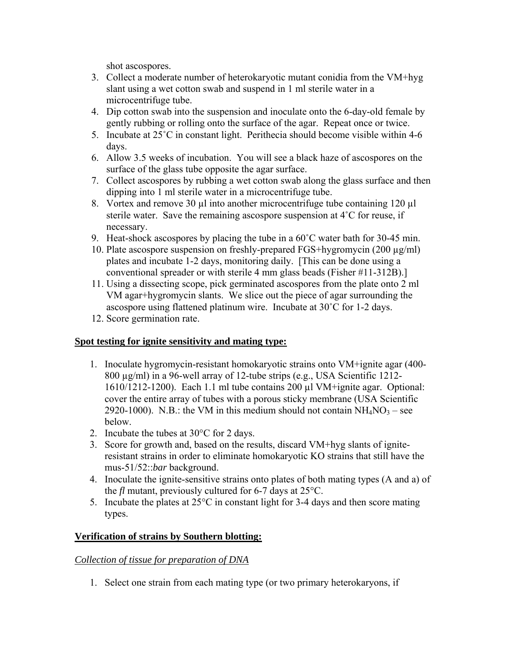shot ascospores.

- 3. Collect a moderate number of heterokaryotic mutant conidia from the VM+hyg slant using a wet cotton swab and suspend in 1 ml sterile water in a microcentrifuge tube.
- 4. Dip cotton swab into the suspension and inoculate onto the 6-day-old female by gently rubbing or rolling onto the surface of the agar. Repeat once or twice.
- 5. Incubate at 25˚C in constant light. Perithecia should become visible within 4-6 days.
- 6. Allow 3.5 weeks of incubation. You will see a black haze of ascospores on the surface of the glass tube opposite the agar surface.
- 7. Collect ascospores by rubbing a wet cotton swab along the glass surface and then dipping into 1 ml sterile water in a microcentrifuge tube.
- 8. Vortex and remove 30  $\mu$ l into another microcentrifuge tube containing 120  $\mu$ l sterile water. Save the remaining ascospore suspension at 4˚C for reuse, if necessary.
- 9. Heat-shock ascospores by placing the tube in a 60˚C water bath for 30-45 min.
- 10. Plate ascospore suspension on freshly-prepared FGS+hygromycin (200 µg/ml) plates and incubate 1-2 days, monitoring daily. [This can be done using a conventional spreader or with sterile 4 mm glass beads (Fisher #11-312B).]
- 11. Using a dissecting scope, pick germinated ascospores from the plate onto 2 ml VM agar+hygromycin slants. We slice out the piece of agar surrounding the ascospore using flattened platinum wire. Incubate at 30˚C for 1-2 days.
- 12. Score germination rate.

## **Spot testing for ignite sensitivity and mating type:**

- 1. Inoculate hygromycin-resistant homokaryotic strains onto VM+ignite agar (400- 800 µg/ml) in a 96-well array of 12-tube strips (e.g., USA Scientific 1212- 1610/1212-1200). Each 1.1 ml tube contains 200  $\mu$ l VM+ignite agar. Optional: cover the entire array of tubes with a porous sticky membrane (USA Scientific 2920-1000). N.B.: the VM in this medium should not contain  $NH_4NO_3$  – see below.
- 2. Incubate the tubes at 30°C for 2 days.
- 3. Score for growth and, based on the results, discard VM+hyg slants of igniteresistant strains in order to eliminate homokaryotic KO strains that still have the mus-51/52::*bar* background.
- 4. Inoculate the ignite-sensitive strains onto plates of both mating types (A and a) of the *fl* mutant, previously cultured for 6-7 days at 25°C.
- 5. Incubate the plates at 25°C in constant light for 3-4 days and then score mating types.

# **Verification of strains by Southern blotting:**

## *Collection of tissue for preparation of DNA*

1. Select one strain from each mating type (or two primary heterokaryons, if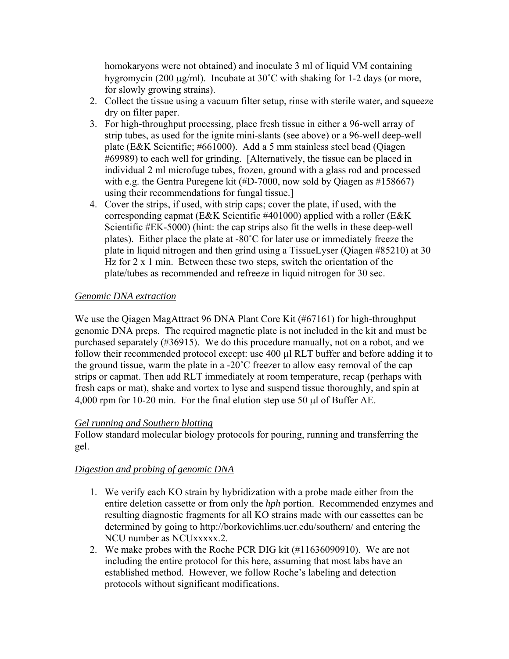homokaryons were not obtained) and inoculate 3 ml of liquid VM containing hygromycin (200 μg/ml). Incubate at 30˚C with shaking for 1-2 days (or more, for slowly growing strains).

- 2. Collect the tissue using a vacuum filter setup, rinse with sterile water, and squeeze dry on filter paper.
- 3. For high-throughput processing, place fresh tissue in either a 96-well array of strip tubes, as used for the ignite mini-slants (see above) or a 96-well deep-well plate (E&K Scientific; #661000). Add a 5 mm stainless steel bead (Qiagen #69989) to each well for grinding. [Alternatively, the tissue can be placed in individual 2 ml microfuge tubes, frozen, ground with a glass rod and processed with e.g. the Gentra Puregene kit (#D-7000, now sold by Qiagen as #158667) using their recommendations for fungal tissue.]
- 4. Cover the strips, if used, with strip caps; cover the plate, if used, with the corresponding capmat (E&K Scientific #401000) applied with a roller (E&K Scientific #EK-5000) (hint: the cap strips also fit the wells in these deep-well plates). Either place the plate at -80˚C for later use or immediately freeze the plate in liquid nitrogen and then grind using a TissueLyser (Qiagen #85210) at 30 Hz for  $2 \times 1$  min. Between these two steps, switch the orientation of the plate/tubes as recommended and refreeze in liquid nitrogen for 30 sec.

## *Genomic DNA extraction*

We use the Qiagen MagAttract 96 DNA Plant Core Kit (#67161) for high-throughput genomic DNA preps. The required magnetic plate is not included in the kit and must be purchased separately (#36915). We do this procedure manually, not on a robot, and we follow their recommended protocol except: use 400 µl RLT buffer and before adding it to the ground tissue, warm the plate in a -20˚C freezer to allow easy removal of the cap strips or capmat. Then add RLT immediately at room temperature, recap (perhaps with fresh caps or mat), shake and vortex to lyse and suspend tissue thoroughly, and spin at 4,000 rpm for 10-20 min. For the final elution step use 50 μl of Buffer AE.

## *Gel running and Southern blotting*

Follow standard molecular biology protocols for pouring, running and transferring the gel.

## *Digestion and probing of genomic DNA*

- 1. We verify each KO strain by hybridization with a probe made either from the entire deletion cassette or from only the *hph* portion. Recommended enzymes and resulting diagnostic fragments for all KO strains made with our cassettes can be determined by going to <http://borkovichlims.ucr.edu/southern/> and entering the NCU number as NCUxxxxx.2.
- 2. We make probes with the Roche PCR DIG kit (#11636090910). We are not including the entire protocol for this here, assuming that most labs have an established method. However, we follow Roche's labeling and detection protocols without significant modifications.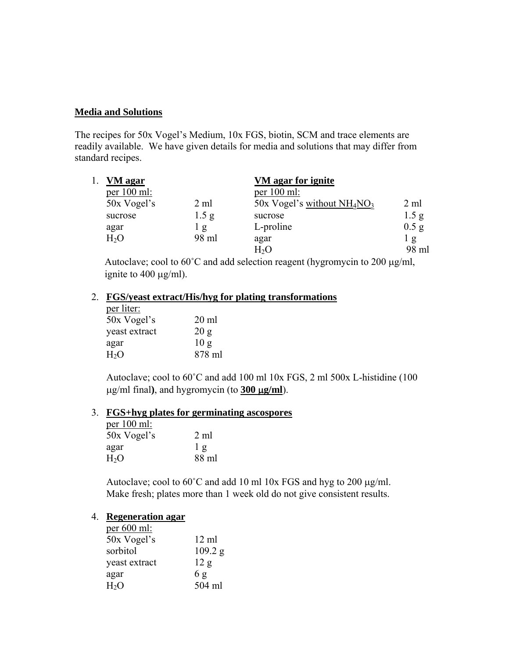### **Media and Solutions**

The recipes for 50x Vogel's Medium, 10x FGS, biotin, SCM and trace elements are readily available. We have given details for media and solutions that may differ from standard recipes.

| VM agar       |                  | VM agar for ignite           |                  |
|---------------|------------------|------------------------------|------------------|
| per $100$ ml: |                  | per $100$ ml:                |                  |
| 50x Vogel's   | 2 ml             | 50x Vogel's without $NH4NO3$ | 2 ml             |
| sucrose       | 1.5 <sub>g</sub> | sucrose                      | 1.5 <sub>g</sub> |
| agar          | l g              | L-proline                    | $0.5$ g          |
| $H_2O$        | 98 ml            | agar                         | $\lg$            |
|               |                  | H2O                          | 98 ml            |

Autoclave; cool to 60˚C and add selection reagent (hygromycin to 200 μg/ml, ignite to 400 μg/ml).

# 2. **FGS/yeast extract/His/hyg for plating transformations**

| per liter:       |                 |
|------------------|-----------------|
| 50x Vogel's      | $20 \text{ ml}$ |
| yeast extract    | 20 g            |
| agar             | 10 <sub>g</sub> |
| H <sub>2</sub> O | 878 ml          |

Autoclave; cool to 60˚C and add 100 ml 10x FGS, 2 ml 500x L-histidine (100 μg/ml final**)**, and hygromycin (to **300** μ**g/ml**).

#### 3. **FGS+hyg plates for germinating ascospores**

| per $100$ ml:    |                |
|------------------|----------------|
| 50x Vogel's      | 2 ml           |
| agar             | 1 <sub>g</sub> |
| H <sub>2</sub> O | 88 ml          |

Autoclave; cool to 60˚C and add 10 ml 10x FGS and hyg to 200 μg/ml. Make fresh; plates more than 1 week old do not give consistent results.

#### 4. **Regeneration agar**

| per $600$ ml:    |                 |
|------------------|-----------------|
| 50x Vogel's      | $12 \text{ ml}$ |
| sorbitol         | 109.2 g         |
| yeast extract    | 12 g            |
| agar             | 6g              |
| H <sub>2</sub> O | 504 ml          |